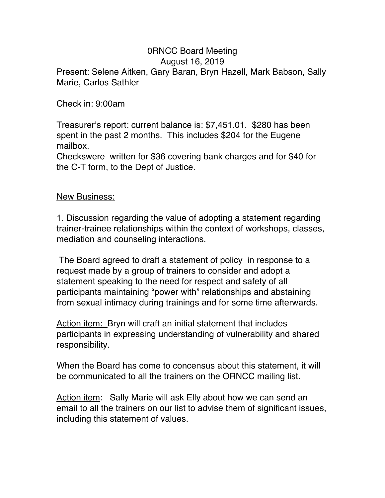## 0RNCC Board Meeting

August 16, 2019

Present: Selene Aitken, Gary Baran, Bryn Hazell, Mark Babson, Sally Marie, Carlos Sathler

Check in: 9:00am

Treasurer's report: current balance is: \$7,451.01. \$280 has been spent in the past 2 months. This includes \$204 for the Eugene mailbox.

Checkswere written for \$36 covering bank charges and for \$40 for the C-T form, to the Dept of Justice.

## New Business:

1. Discussion regarding the value of adopting a statement regarding trainer-trainee relationships within the context of workshops, classes, mediation and counseling interactions.

The Board agreed to draft a statement of policy in response to a request made by a group of trainers to consider and adopt a statement speaking to the need for respect and safety of all participants maintaining "power with" relationships and abstaining from sexual intimacy during trainings and for some time afterwards.

Action item: Bryn will craft an initial statement that includes participants in expressing understanding of vulnerability and shared responsibility.

When the Board has come to concensus about this statement, it will be communicated to all the trainers on the ORNCC mailing list.

Action item: Sally Marie will ask Elly about how we can send an email to all the trainers on our list to advise them of significant issues, including this statement of values.